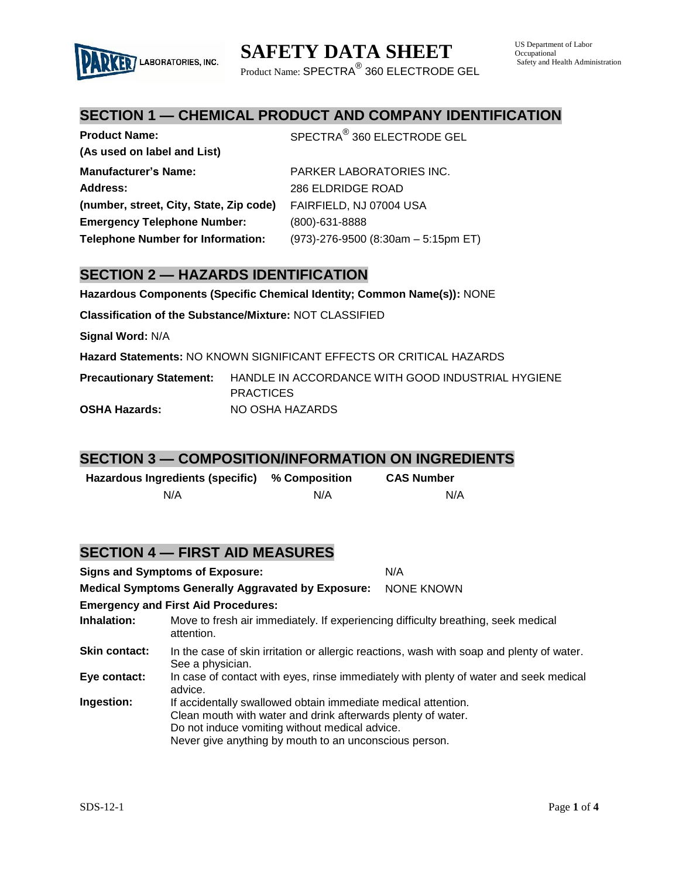

Product Name:  $\mathsf{SPECTRA}^\circledR$  360 ELECTRODE GEL

# **SECTION 1 — CHEMICAL PRODUCT AND COMPANY IDENTIFICATION**

| <b>Product Name:</b>                     | SPECTRA <sup>®</sup> 360 ELECTRODE GEL |
|------------------------------------------|----------------------------------------|
| (As used on label and List)              |                                        |
| <b>Manufacturer's Name:</b>              | PARKER LABORATORIES INC.               |
| <b>Address:</b>                          | 286 ELDRIDGE ROAD                      |
| (number, street, City, State, Zip code)  | FAIRFIELD, NJ 07004 USA                |
| <b>Emergency Telephone Number:</b>       | $(800) - 631 - 8888$                   |
| <b>Telephone Number for Information:</b> | (973)-276-9500 (8:30am - 5:15pm ET)    |

### **SECTION 2 — HAZARDS IDENTIFICATION**

LABORATORIES, INC.

**Hazardous Components (Specific Chemical Identity; Common Name(s)):** NONE

**Classification of the Substance/Mixture:** NOT CLASSIFIED

**Signal Word:** N/A

**Hazard Statements:** NO KNOWN SIGNIFICANT EFFECTS OR CRITICAL HAZARDS

**Precautionary Statement:** HANDLE IN ACCORDANCE WITH GOOD INDUSTRIAL HYGIENE **PRACTICES OSHA Hazards:** NO OSHA HAZARDS

### **SECTION 3 — COMPOSITION/INFORMATION ON INGREDIENTS**

| Hazardous Ingredients (specific) | % Composition | <b>CAS Number</b> |
|----------------------------------|---------------|-------------------|
| N/A                              | N/A           | N/A               |

### **SECTION 4 — FIRST AID MEASURES**

|                                                           | <b>Signs and Symptoms of Exposure:</b>                                                                                                                                                                                                    | N/A               |
|-----------------------------------------------------------|-------------------------------------------------------------------------------------------------------------------------------------------------------------------------------------------------------------------------------------------|-------------------|
| <b>Medical Symptoms Generally Aggravated by Exposure:</b> |                                                                                                                                                                                                                                           | <b>NONE KNOWN</b> |
|                                                           | <b>Emergency and First Aid Procedures:</b>                                                                                                                                                                                                |                   |
| Inhalation:                                               | Move to fresh air immediately. If experiencing difficulty breathing, seek medical<br>attention.                                                                                                                                           |                   |
| <b>Skin contact:</b>                                      | In the case of skin irritation or allergic reactions, wash with soap and plenty of water.<br>See a physician.                                                                                                                             |                   |
| Eye contact:                                              | In case of contact with eyes, rinse immediately with plenty of water and seek medical<br>advice.                                                                                                                                          |                   |
| Ingestion:                                                | If accidentally swallowed obtain immediate medical attention.<br>Clean mouth with water and drink afterwards plenty of water.<br>Do not induce vomiting without medical advice.<br>Never give anything by mouth to an unconscious person. |                   |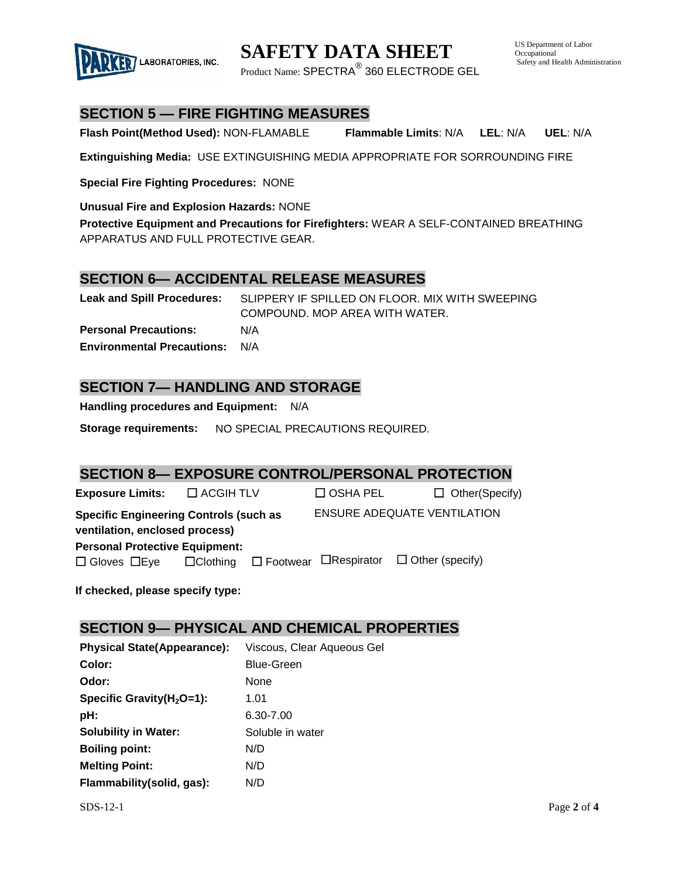

**SAFETY DATA SHEET**

Product Name:  $\mathsf{SPECTRA}^\circledR$  360 ELECTRODE GEL

# **SECTION 5 — FIRE FIGHTING MEASURES**

**Flash Point(Method Used):** NON-FLAMABLE **Flammable Limits**: N/A **LEL**: N/A **UEL**: N/A

**Extinguishing Media:** USE EXTINGUISHING MEDIA APPROPRIATE FOR SORROUNDING FIRE

**Special Fire Fighting Procedures:** NONE

**Unusual Fire and Explosion Hazards:** NONE

**Protective Equipment and Precautions for Firefighters:** WEAR A SELF-CONTAINED BREATHING APPARATUS AND FULL PROTECTIVE GEAR.

# **SECTION 6— ACCIDENTAL RELEASE MEASURES**

**Leak and Spill Procedures:** SLIPPERY IF SPILLED ON FLOOR. MIX WITH SWEEPING COMPOUND. MOP AREA WITH WATER. **Personal Precautions:** N/A **Environmental Precautions:** N/A

# **SECTION 7— HANDLING AND STORAGE**

**Handling procedures and Equipment:** N/A

**Storage requirements:** NO SPECIAL PRECAUTIONS REQUIRED.

### **SECTION 8— EXPOSURE CONTROL/PERSONAL PROTECTION**

**Exposure Limits:**  $\Box$  ACGIH TLV  $\Box$  OSHA PEL  $\Box$  Other(Specify) **Specific Engineering Controls (such as ventilation, enclosed process)** ENSURE ADEQUATE VENTILATION **Personal Protective Equipment:**   $\square$  Gloves  $\square$  Eye  $\square$  Clothing  $\square$  Footwear  $\square$  Respirator  $\square$  Other (specify)

**If checked, please specify type:**

### **SECTION 9— PHYSICAL AND CHEMICAL PROPERTIES**

**Physical State(Appearance):** Viscous, Clear Aqueous Gel **Color:** Blue-Green **Odor:** None **Specific Gravity(H<sub>2</sub>O=1): 1.01 pH:** 6.30-7.00 **Solubility in Water:** Soluble in water **Boiling point:** N/D **Melting Point:** N/D **Flammability(solid, gas):** N/D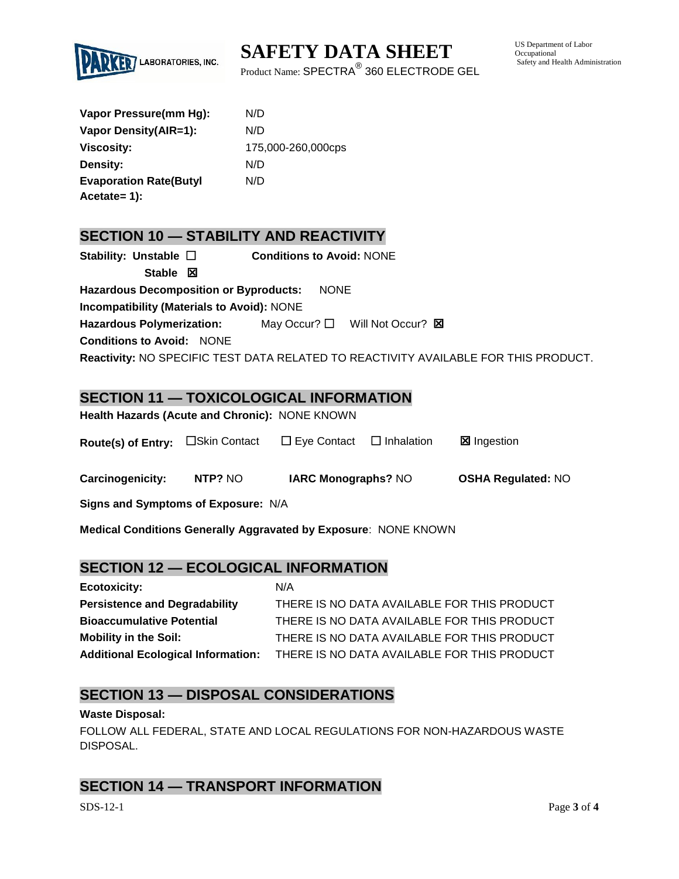

**SAFETY DATA SHEET**

Product Name:  $\mathsf{SPECTRA}^\circledR$  360 ELECTRODE GEL

US Department of Labor Occupational Safety and Health Administration

| Vapor Pressure(mm Hg):        | N/D                |
|-------------------------------|--------------------|
| Vapor Density(AIR=1):         | N/D                |
| <b>Viscosity:</b>             | 175,000-260,000cps |
| Density:                      | N/D                |
| <b>Evaporation Rate(Butyl</b> | N/D                |
| Acetate= 1):                  |                    |

### **SECTION 10 — STABILITY AND REACTIVITY**

| Stability: Unstable $\square$                     | <b>Conditions to Avoid: NONE</b>                                                    |
|---------------------------------------------------|-------------------------------------------------------------------------------------|
| Stable $\boxtimes$                                |                                                                                     |
| <b>Hazardous Decomposition or Byproducts:</b>     | <b>NONE</b>                                                                         |
| <b>Incompatibility (Materials to Avoid): NONE</b> |                                                                                     |
| <b>Hazardous Polymerization:</b>                  | May Occur? $\Box$ Will Not Occur? $\boxtimes$                                       |
| <b>Conditions to Avoid: NONE</b>                  |                                                                                     |
|                                                   | Reactivity: NO SPECIFIC TEST DATA RELATED TO REACTIVITY AVAILABLE FOR THIS PRODUCT. |

# **SECTION 11 — TOXICOLOGICAL INFORMATION**

**Health Hazards (Acute and Chronic):** NONE KNOWN

| Route(s) of Entry: □Skin Contact | $\Box$ Eye Contact | $\Box$ Inhalation | <b>⊠</b> Ingestion |
|----------------------------------|--------------------|-------------------|--------------------|
|----------------------------------|--------------------|-------------------|--------------------|

**Carcinogenicity: NTP?** NO **IARC Monographs?** NO **OSHA Regulated:** NO

**Signs and Symptoms of Exposure:** N/A

**Medical Conditions Generally Aggravated by Exposure**: NONE KNOWN

### **SECTION 12 — ECOLOGICAL INFORMATION**

| <b>Ecotoxicity:</b>                       | N/A                                         |
|-------------------------------------------|---------------------------------------------|
| <b>Persistence and Degradability</b>      | THERE IS NO DATA AVAILABLE FOR THIS PRODUCT |
| <b>Bioaccumulative Potential</b>          | THERE IS NO DATA AVAILABLE FOR THIS PRODUCT |
| <b>Mobility in the Soil:</b>              | THERE IS NO DATA AVAILABLE FOR THIS PRODUCT |
| <b>Additional Ecological Information:</b> | THERE IS NO DATA AVAILABLE FOR THIS PRODUCT |

### **SECTION 13 — DISPOSAL CONSIDERATIONS**

#### **Waste Disposal:**

FOLLOW ALL FEDERAL, STATE AND LOCAL REGULATIONS FOR NON-HAZARDOUS WASTE DISPOSAL.

### **SECTION 14 — TRANSPORT INFORMATION**